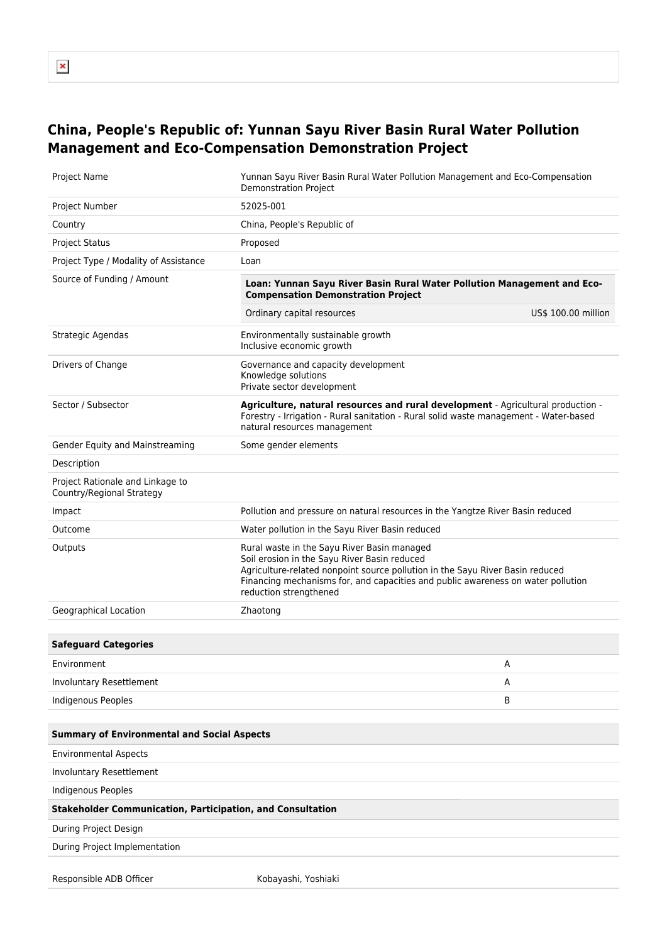## **China, People's Republic of: Yunnan Sayu River Basin Rural Water Pollution Management and Eco-Compensation Demonstration Project**

| Project Name                                                      | Yunnan Sayu River Basin Rural Water Pollution Management and Eco-Compensation<br><b>Demonstration Project</b>                                                                                                                                                                              |                     |
|-------------------------------------------------------------------|--------------------------------------------------------------------------------------------------------------------------------------------------------------------------------------------------------------------------------------------------------------------------------------------|---------------------|
| Project Number                                                    | 52025-001                                                                                                                                                                                                                                                                                  |                     |
| Country                                                           | China, People's Republic of                                                                                                                                                                                                                                                                |                     |
| <b>Project Status</b>                                             | Proposed                                                                                                                                                                                                                                                                                   |                     |
| Project Type / Modality of Assistance                             | Loan                                                                                                                                                                                                                                                                                       |                     |
| Source of Funding / Amount                                        | Loan: Yunnan Sayu River Basin Rural Water Pollution Management and Eco-<br><b>Compensation Demonstration Project</b>                                                                                                                                                                       |                     |
|                                                                   | Ordinary capital resources                                                                                                                                                                                                                                                                 | US\$ 100.00 million |
| Strategic Agendas                                                 | Environmentally sustainable growth<br>Inclusive economic growth                                                                                                                                                                                                                            |                     |
| Drivers of Change                                                 | Governance and capacity development<br>Knowledge solutions<br>Private sector development                                                                                                                                                                                                   |                     |
| Sector / Subsector                                                | Agriculture, natural resources and rural development - Agricultural production -<br>Forestry - Irrigation - Rural sanitation - Rural solid waste management - Water-based<br>natural resources management                                                                                  |                     |
| Gender Equity and Mainstreaming                                   | Some gender elements                                                                                                                                                                                                                                                                       |                     |
| Description                                                       |                                                                                                                                                                                                                                                                                            |                     |
| Project Rationale and Linkage to<br>Country/Regional Strategy     |                                                                                                                                                                                                                                                                                            |                     |
| Impact                                                            | Pollution and pressure on natural resources in the Yangtze River Basin reduced                                                                                                                                                                                                             |                     |
| Outcome                                                           | Water pollution in the Sayu River Basin reduced                                                                                                                                                                                                                                            |                     |
| Outputs                                                           | Rural waste in the Sayu River Basin managed<br>Soil erosion in the Sayu River Basin reduced<br>Agriculture-related nonpoint source pollution in the Sayu River Basin reduced<br>Financing mechanisms for, and capacities and public awareness on water pollution<br>reduction strengthened |                     |
| Geographical Location                                             | Zhaotong                                                                                                                                                                                                                                                                                   |                     |
|                                                                   |                                                                                                                                                                                                                                                                                            |                     |
| <b>Safeguard Categories</b>                                       |                                                                                                                                                                                                                                                                                            |                     |
| Environment                                                       |                                                                                                                                                                                                                                                                                            | Α                   |
| Involuntary Resettlement                                          |                                                                                                                                                                                                                                                                                            | Α                   |
| Indigenous Peoples                                                |                                                                                                                                                                                                                                                                                            | В                   |
|                                                                   |                                                                                                                                                                                                                                                                                            |                     |
| <b>Summary of Environmental and Social Aspects</b>                |                                                                                                                                                                                                                                                                                            |                     |
| <b>Environmental Aspects</b>                                      |                                                                                                                                                                                                                                                                                            |                     |
| <b>Involuntary Resettlement</b>                                   |                                                                                                                                                                                                                                                                                            |                     |
| <b>Indigenous Peoples</b>                                         |                                                                                                                                                                                                                                                                                            |                     |
| <b>Stakeholder Communication, Participation, and Consultation</b> |                                                                                                                                                                                                                                                                                            |                     |
| During Project Design                                             |                                                                                                                                                                                                                                                                                            |                     |
| During Project Implementation                                     |                                                                                                                                                                                                                                                                                            |                     |
|                                                                   |                                                                                                                                                                                                                                                                                            |                     |
| Responsible ADB Officer                                           | Kobayashi, Yoshiaki                                                                                                                                                                                                                                                                        |                     |